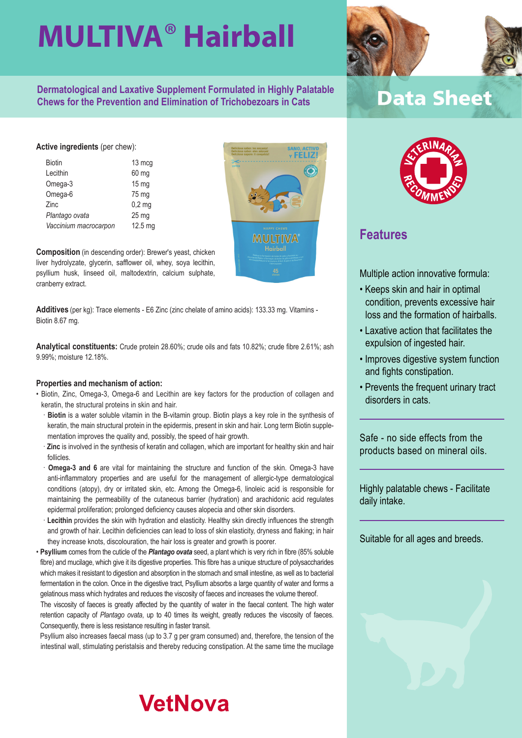**Dermatological and Laxative Supplement Formulated in Highly Palatable Chews for the Prevention and Elimination of Trichobezoars in Cats**

#### **Active ingredients** (per chew):

- Biotin 13 mcg Lecithin 60 mg Omega-3 15 mg Omega-6 75 mg Zinc 0,2 mg *Plantago ovata* 25 mg *Vaccinium macrocarpon* 12.5 mg
- 

**Composition** (in descending order): Brewer's yeast, chicken liver hydrolyzate, glycerin, safflower oil, whey, soya lecithin, psyllium husk, linseed oil, maltodextrin, calcium sulphate, cranberry extract.

**Additives** (per kg): Trace elements - E6 Zinc (zinc chelate of amino acids): 133.33 mg. Vitamins - Biotin 8.67 mg.

**Analytical constituents:** Crude protein 28.60%; crude oils and fats 10.82%; crude fibre 2.61%; ash 9.99%; moisture 12.18%.

#### **Properties and mechanism of action:**

- Biotin, Zinc, Omega-3, Omega-6 and Lecithin are key factors for the production of collagen and keratin, the structural proteins in skin and hair.
	- · **Biotin** is a water soluble vitamin in the B-vitamin group. Biotin plays a key role in the synthesis of keratin, the main structural protein in the epidermis, present in skin and hair. Long term Biotin supplementation improves the quality and, possibly, the speed of hair growth.
	- · **Zinc** is involved in the synthesis of keratin and collagen, which are important for healthy skin and hair follicles.
	- **Omega-3 and 6** are vital for maintaining the structure and function of the skin. Omega-3 have anti-inflammatory properties and are useful for the management of allergic-type dermatological conditions (atopy), dry or irritated skin, etc. Among the Omega-6, linoleic acid is responsible for maintaining the permeability of the cutaneous barrier (hydration) and arachidonic acid regulates epidermal proliferation; prolonged deficiency causes alopecia and other skin disorders.
	- Lecithin provides the skin with hydration and elasticity. Healthy skin directly influences the strength and growth of hair. Lecithin deficiencies can lead to loss of skin elasticity, dryness and flaking; in hair they increase knots, discolouration, the hair loss is greater and growth is poorer.
- **Psyllium** comes from the cuticle of the *Plantago ovata* seed, a plant which is very rich in fibre (85% soluble fibre) and mucilage, which give it its digestive properties. This fibre has a unique structure of polysaccharides which makes it resistant to digestion and absorption in the stomach and small intestine, as well as to bacterial fermentation in the colon. Once in the digestive tract, Psyllium absorbs a large quantity of water and forms a gelatinous mass which hydrates and reduces the viscosity of faeces and increases the volume thereof.

The viscosity of faeces is greatly affected by the quantity of water in the faecal content. The high water retention capacity of *Plantago ovata*, up to 40 times its weight, greatly reduces the viscosity of faeces. Consequently, there is less resistance resulting in faster transit.

Psyllium also increases faecal mass (up to 3.7 g per gram consumed) and, therefore, the tension of the intestinal wall, stimulating peristalsis and thereby reducing constipation. At the same time the mucilage

### **VetNova**

**Data Sheet** 



### **Features**

Multiple action innovative formula:

- Keeps skin and hair in optimal condition, prevents excessive hair loss and the formation of hairballs.
- Laxative action that facilitates the expulsion of ingested hair.
- Improves digestive system function and fights constipation.
- Prevents the frequent urinary tract disorders in cats

Safe - no side effects from the products based on mineral oils.

Highly palatable chews - Facilitate daily intake.

Suitable for all ages and breeds.



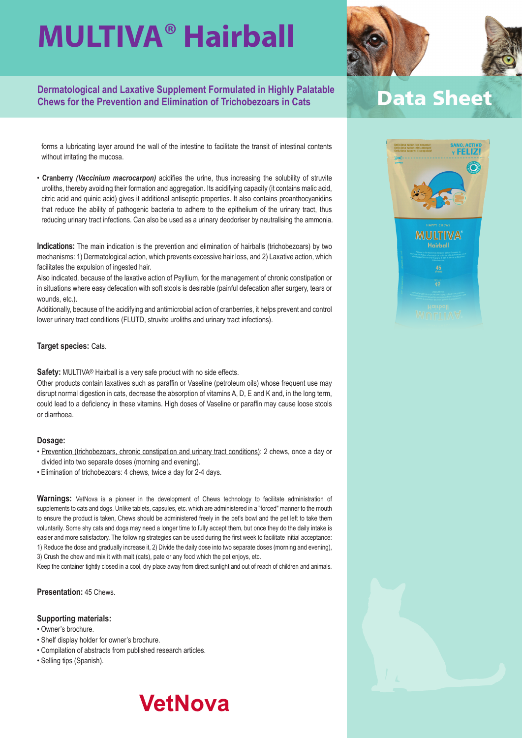**Dermatological and Laxative Supplement Formulated in Highly Palatable Chews for the Prevention and Elimination of Trichobezoars in Cats**

forms a lubricating layer around the wall of the intestine to facilitate the transit of intestinal contents without irritating the mucosa.

• **Cranberry** *(Vaccinium macrocarpon)* acidifies the urine, thus increasing the solubility of struvite uroliths, thereby avoiding their formation and aggregation. Its acidifying capacity (it contains malic acid, citric acid and quinic acid) gives it additional antiseptic properties. It also contains proanthocyanidins that reduce the ability of pathogenic bacteria to adhere to the epithelium of the urinary tract, thus reducing urinary tract infections. Can also be used as a urinary deodoriser by neutralising the ammonia.

**Indications:** The main indication is the prevention and elimination of hairballs (trichobezoars) by two mechanisms: 1) Dermatological action, which prevents excessive hair loss, and 2) Laxative action, which facilitates the expulsion of ingested hair.

Also indicated, because of the laxative action of Psyllium, for the management of chronic constipation or in situations where easy defecation with soft stools is desirable (painful defecation after surgery, tears or wounds, etc.).

Additionally, because of the acidifying and antimicrobial action of cranberries, it helps prevent and control lower urinary tract conditions (FLUTD, struvite uroliths and urinary tract infections).

#### **Target species:** Cats.

**Safety:** MULTIVA® Hairball is a very safe product with no side effects.

Other products contain laxatives such as paraffin or Vaseline (petroleum oils) whose frequent use may disrupt normal digestion in cats, decrease the absorption of vitamins A, D, E and K and, in the long term, could lead to a deficiency in these vitamins. High doses of Vaseline or paraffin may cause loose stools or diarrhoea.

#### **Dosage:**

- Prevention (trichobezoars, chronic constipation and urinary tract conditions): 2 chews, once a day or divided into two separate doses (morning and evening).
- Elimination of trichobezoars: 4 chews, twice a day for 2-4 days.

**Warnings:** VetNova is a pioneer in the development of Chews technology to facilitate administration of supplements to cats and dogs. Unlike tablets, capsules, etc. which are administered in a "forced" manner to the mouth to ensure the product is taken, Chews should be administered freely in the pet's bowl and the pet left to take them voluntarily. Some shy cats and dogs may need a longer time to fully accept them, but once they do the daily intake is easier and more satisfactory. The following strategies can be used during the first week to facilitate initial acceptance: 1) Reduce the dose and gradually increase it, 2) Divide the daily dose into two separate doses (morning and evening), 3) Crush the chew and mix it with malt (cats), pate or any food which the pet enjoys, etc.

Keep the container tightly closed in a cool, dry place away from direct sunlight and out of reach of children and animals.

**Presentation:** 45 Chews.

#### **Supporting materials:**

- Owner's brochure.
- Shelf display holder for owner's brochure.
- Compilation of abstracts from published research articles.
- Selling tips (Spanish).

### **VetNova**







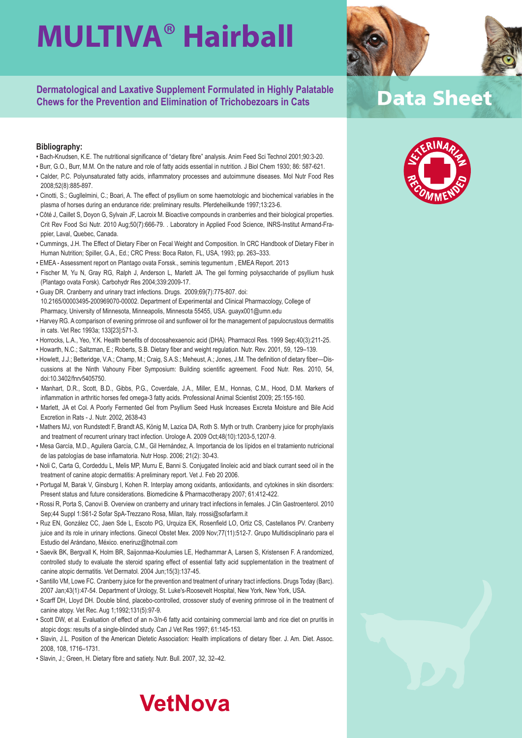**Dermatological and Laxative Supplement Formulated in Highly Palatable Chews for the Prevention and Elimination of Trichobezoars in Cats**

#### **Bibliography:**

- Bach-Knudsen, K.E. The nutritional significance of "dietary fibre" analysis. Anim Feed Sci Technol 2001;90:3-20.
- Burr, G.O., Burr, M.M. On the nature and role of fatty acids essential in nutrition. J Biol Chem 1930; 86: 587-621.
- Calder, P.C. Polyunsaturated fatty acids, inflammatory processes and autoimmune diseases. Mol Nutr Food Res 2008;52(8):885-897.
- Cinotti, S.; Gugllelmini, C.; Boari, A. The effect of psyllium on some haemotologic and biochemical variables in the plasma of horses during an endurance ride: preliminary results. Pferdeheilkunde 1997;13:23-6.
- Côté J, Caillet S, Doyon G, Sylvain JF, Lacroix M. Bioactive compounds in cranberries and their biological properties. Crit Rev Food Sci Nutr. 2010 Aug;50(7):666-79. . Laboratory in Applied Food Science, INRS-Institut Armand-Frappier, Laval, Quebec, Canada.
- Cummings, J.H. The Effect of Dietary Fiber on Fecal Weight and Composition. In CRC Handbook of Dietary Fiber in Human Nutrition; Spiller, G.A., Ed.; CRC Press: Boca Raton, FL, USA, 1993; pp. 263–333.
- EMEA Assessment report on Plantago ovata Forssk., seminis tegumentum , EMEA Report. 2013
- Fischer M, Yu N, Gray RG, Ralph J, Anderson L, Marlett JA. The gel forming polysaccharide of psyllium husk (Plantago ovata Forsk). Carbohydr Res 2004;339:2009-17.
- Guay DR. Cranberry and urinary tract infections. Drugs. 2009;69(7):775-807. doi: 10.2165/00003495-200969070-00002. Department of Experimental and Clinical Pharmacology, College of Pharmacy, University of Minnesota, Minneapolis, Minnesota 55455, USA. guayx001@umn.edu
- Harvey RG. A comparison of evening primrose oil and sunflower oil for the management of papulocrustous dermatitis in cats. Vet Rec 1993a; 133[23]:571-3.
- Horrocks, L.A., Yeo, Y.K. Health benefits of docosahexaenoic acid (DHA). Pharmacol Res. 1999 Sep;40(3):211-25.
- Howarth, N.C.; Saltzman, E.; Roberts, S.B. Dietary fiber and weight regulation. Nutr. Rev. 2001, 59, 129–139.
- Howlett, J.J.; Betteridge, V.A.; Champ, M.; Craig, S.A.S.; Meheust, A.; Jones, J.M. The definition of dietary fiber—Discussions at the Ninth Vahouny Fiber Symposium: Building scientific agreement. Food Nutr. Res. 2010, 54, doi:10.3402/fnrv5405750.
- Manhart, D.R., Scott, B.D., Gibbs, P.G., Coverdale, J.A., Miller, E.M., Honnas, C.M., Hood, D.M. Markers of inflammation in arthritic horses fed omega-3 fatty acids. Professional Animal Scientist 2009; 25:155-160.
- Marlett, JA et Col. A Poorly Fermented Gel from Psyllium Seed Husk Increases Excreta Moisture and Bile Acid Excretion in Rats - J. Nutr. 2002, 2638-43
- Mathers MJ, von Rundstedt F, Brandt AS, König M, Lazica DA, Roth S. Myth or truth. Cranberry juice for prophylaxis and treatment of recurrent urinary tract infection. Urologe A. 2009 Oct;48(10):1203-5,1207-9.
- Mesa García, M.D., Aguilera García, C.M., Gil Hernández, A. Importancia de los lípidos en el tratamiento nutricional de las patologías de base inflamatoria. Nutr Hosp. 2006; 21(2): 30-43.
- Noli C, Carta G, Cordeddu L, Melis MP, Murru E, Banni S. Conjugated linoleic acid and black currant seed oil in the treatment of canine atopic dermatitis: A preliminary report. Vet J. Feb 20 2006.
- Portugal M, Barak V, Ginsburg I, Kohen R. Interplay among oxidants, antioxidants, and cytokines in skin disorders: Present status and future considerations. Biomedicine & Pharmacotherapy 2007; 61:412-422.
- Rossi R, Porta S, Canovi B. Overview on cranberry and urinary tract infections in females. J Clin Gastroenterol. 2010 Sep;44 Suppl 1:S61-2 Sofar SpA-Trezzano Rosa, Milan, Italy. rrossi@sofarfarm.it
- Ruz EN, González CC, Jaen Sde L, Escoto PG, Urquiza EK, Rosenfield LO, Ortiz CS, Castellanos PV. Cranberry juice and its role in urinary infections. Ginecol Obstet Mex. 2009 Nov;77(11):512-7. Grupo Multidisciplinario para el Estudio del Arándano, México. eneriruz@hotmail.com
- Saevik BK, Bergvall K, Holm BR, Saijonmaa-Koulumies LE, Hedhammar A, Larsen S, Kristensen F. A randomized, controlled study to evaluate the steroid sparing effect of essential fatty acid supplementation in the treatment of canine atopic dermatitis. Vet Dermatol. 2004 Jun;15(3):137-45.
- Santillo VM, Lowe FC. Cranberry juice for the prevention and treatment of urinary tract infections. Drugs Today (Barc). 2007 Jan;43(1):47-54. Department of Urology, St. Luke's-Roosevelt Hospital, New York, New York, USA.
- Scarff DH, Lloyd DH. Double blind, placebo-controlled, crossover study of evening primrose oil in the treatment of canine atopy. Vet Rec. Aug 1;1992;131(5):97-9.
- Scott DW, et al. Evaluation of effect of an n-3/n-6 fatty acid containing commercial lamb and rice diet on pruritis in atopic dogs: results of a single-blinded study. Can J Vet Res 1997; 61:145-153.
- Slavin, J.L. Position of the American Dietetic Association: Health implications of dietary fiber. J. Am. Diet. Assoc. 2008, 108, 1716–1731.
- Slavin, J.; Green, H. Dietary fibre and satiety. Nutr. Bull. 2007, 32, 32–42.

### **VetNova**